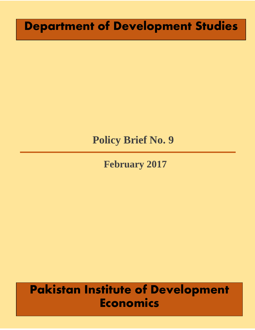# **Department of Development Studies**

# **Policy Brief No. 9**

**February 2017**

# **Pakistan Institute of Development Economics**